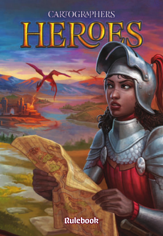# **CARTOGRAPHERS**

Rulebook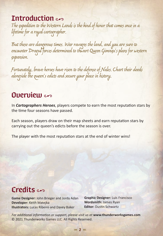Introduction experience of the kind of honor that comes once in a<br>The expedition to the Western Lands is the kind of honor that comes once in a lifetime for a royal cartographer.

But these are dangerous times. War ravages the land, and you are sure to encounter Dragul forces determined to thwart Queen Gimnax's plans for western expansion.

Fortunately, brave heroes have risen to the defense of Nalos. Chart their deeds alongside the queen's edicts and secure your place in history.

## $\Omega$ uerview  $\infty$

In *Cartographers Heroes*, players compete to earn the most reputation stars by the time four seasons have passed.

Each season, players draw on their map sheets and earn reputation stars by carrying out the queen's edicts before the season is over.

The player with the most reputation stars at the end of winter wins!

# Credits and

**Game Designer:** John Brieger and Jordy Adan **Developer:** Keith Matejka **Illustrators:** Lucas Ribeiro and Davey Baker

**Graphic Designer:** Luis Francisco **Wordsmith:** James Ryan **Editor: Dustin Schwartz** 

*For additional information or support, please visit us at* **www.thunderworksgames.com** © 2021 Thunderworks Games LLC. All Rights Reserved.

 $= 2$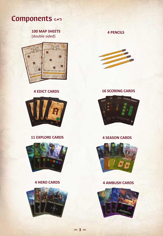

**100 MAP SHEETS** (double sided)





#### **11 EXPLORE CARDS**



#### **4 HERO CARDS**



 $= 3 =$ 

**4 PENCILS**



#### **4 EDICT CARDS 16 SCORING CARDS**



#### **4 SEASON CARDS**



#### **4 AMBUSH CARDS**

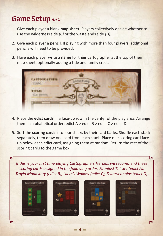## Game Setup en

لبته

- 1. Give each player a blank **map sheet**. Players collectively decide whether to use the wilderness side *(C)* or the wastelands side *(D).*
- 2. Give each player a **pencil**. If playing with more than four players, additional pencils will need to be provided.
- 3. Have each player write a **name** for their cartographer at the top of their map sheet, optionally adding a title and family crest.



- 4. Place the **edict cards** in a face-up row in the center of the play area. Arrange them in alphabetical order: edict A > edict B > edict C > edict D*.*
- 5. Sort the **scoring cards** into four stacks by their card backs. Shuffle each stack separately, then draw one card from each stack. Place one scoring card face up below each edict card, assigning them at random. Return the rest of the scoring cards to the game box.

*If this is your first time playing Cartographers Heroes, we recommend these scoring cards assigned in the following order: Faunlost Thicket (edict A), Traylo Monastery (edict B), Ulem's Wallow (edict C), Dwarvenholds (edict D).*



 $= 4 =$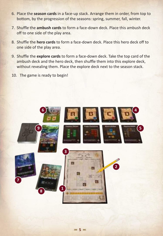- 6. Place the **season cards** in a face-up stack. Arrange them in order, from top to bottom, by the progression of the seasons: spring, summer, fall, winter.
- 7. Shuffle the **ambush cards** to form a face-down deck. Place this ambush deck off to one side of the play area.
- 8. Shuffle the **hero cards** to form a face-down deck. Place this hero deck off to one side of the play area.
- 9. Shuffle the **explore cards** to form a face-down deck. Take the top card of the ambush deck and the hero deck, then shuffle them into this explore deck, without revealing them. Place the explore deck next to the season stack.
- 10. The game is ready to begin!

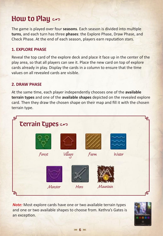## How to Play and

The game is played over four **seasons**. Each season is divided into multiple **turns**, and each turn has three **phases**: the Explore Phase, Draw Phase, and Check Phase. At the end of each season, players earn reputation stars.

#### **1. EXPLORE PHASE**

Reveal the top card of the explore deck and place it face up in the center of the play area, so that all players can see it. Place the new card on top of explore cards already in play. Display the cards in a column to ensure that the time values on all revealed cards are visible.

#### **2. DRAW PHASE**

At the same time, each player independently chooses one of the **available terrain types** and one of the **available shapes** depicted on the revealed explore card. Then they draw the chosen shape on their map and fill it with the chosen terrain type.



*Note:* Most explore cards have one or two available terrain types and one or two available shapes to choose from. Kethra's Gates is an exception.

 $= 6 =$ 

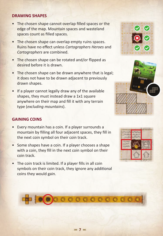#### **DRAWING SHAPES**

- The chosen shape cannot overlap filled spaces or the edge of the map. Mountain spaces and wasteland spaces count as filled spaces.
- The chosen shape can overlap empty ruins spaces. Ruins have no effect unless *Cartographers Heroes* and *Cartographers* are combined.
- The chosen shape can be rotated and/or flipped as desired before it is drawn.
- The chosen shape can be drawn anywhere that is legal; it does not have to be drawn adjacent to previously drawn shapes.
- If a player cannot legally draw any of the available shapes, they must instead draw a 1x1 square anywhere on their map and fill it with any terrain type (*excluding mountains*).

#### **GAINING COINS**

- Every mountain has a coin. If a player surrounds a mountain by filling all four adjacent spaces, they fill in the next coin symbol on their coin track.
- Some shapes have a coin. If a player chooses a shape with a coin, they fill in the next coin symbol on their coin track.
- The coin track is limited. If a player fills in all coin symbols on their coin track, they ignore any additional coins they would gain.







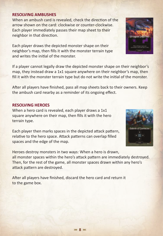#### **RESOLVING AMBUSHES**

When an ambush card is revealed, check the direction of the arrow shown on the card: clockwise or counter-clockwise. Each player immediately passes their map sheet to their neighbor in that direction.

Each player draws the depicted monster shape on their neighbor's map, then fills it with the monster terrain type and writes the initial of the monster.

If a player cannot legally draw the depicted monster shape on their neighbor's map, they instead draw a 1x1 square anywhere on their neighbor's map, then fill it with the monster terrain type but do not write the initial of the monster.

After all players have finished, pass all map sheets back to their owners. Keep the ambush card nearby as a reminder of its ongoing effect.

#### **RESOLVING HEROES**

When a hero card is revealed, each player draws a 1x1 square anywhere on their map, then fills it with the hero terrain type.

Each player then marks spaces in the depicted attack pattern, relative to the hero space. Attack patterns can overlap filled spaces and the edge of the map.

Heroes destroy monsters in two ways: When a hero is drawn, all monster spaces within the hero's attack pattern are immediately destroyed. Then, for the rest of the game, all monster spaces drawn within any hero's attack pattern are destroyed.

After all players have finished, discard the hero card and return it to the game box.



**Urbodn II** 

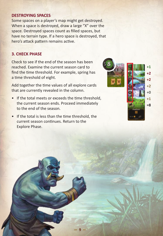#### **DESTROYING SPACES**

Some spaces on a player's map might get destroyed. When a space is destroyed, draw a large "X" over the space. Destroyed spaces count as filled spaces, but have no terrain type. If a hero space is destroyed, that hero's attack pattern remains active.

#### **3. CHECK PHASE**

Check to see if the end of the season has been reached. Examine the current season card to find the time threshold. For example, spring has a time threshold of eight.

Add together the time values of all explore cards that are currently revealed in the column.

- If the total meets or exceeds the time threshold, the current season ends. Proceed immediately to the end of the season.
- If the total is less than the time threshold, the current season continues. Return to the Explore Phase.

- **9** ,

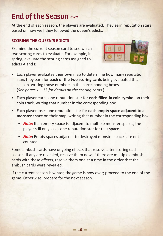## End of the Season  $\infty$

At the end of each season, the players are evaluated. They earn reputation stars based on how well they followed the queen's edicts.

#### **SCORING THE QUEEN'S EDICTS**

Examine the current season card to see which two scoring cards to evaluate. For example, in spring, evaluate the scoring cards assigned to edicts A and B.



- Each player evaluates their own map to determine how many reputation stars they earn for **each of the two scoring cards** being evaluated this season, writing those numbers in the corresponding boxes. (*See pages 11–13 for details on the scoring cards.*)
- Each player earns one reputation star for **each filled-in coin symbol** on their coin track, writing that number in the corresponding box.
- Each player loses one reputation star for **each empty space adjacent to a monster space** on their map, writing that number in the corresponding box.
	- *Note:* If an empty space is adjacent to multiple monster spaces, the player still only loses one reputation star for that space.
	- *Note:* Empty spaces adjacent to destroyed monster spaces are not counted.

Some ambush cards have ongoing effects that resolve after scoring each season. If any are revealed, resolve them now. If there are multiple ambush cards with these effects, resolve them one at a time in the order that the ambush cards were revealed.

If the current season is winter, the game is now over; proceed to the end of the game. Otherwise, prepare for the next season.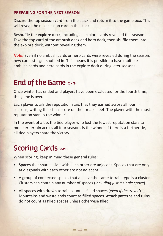#### **PREPARING FOR THE NEXT SEASON**

Discard the top **season card** from the stack and return it to the game box. This will reveal the next season card in the stack.

Reshuffle the **explore deck**, including all explore cards revealed this season. Take the top card of the ambush deck and hero deck, then shuffle them into the explore deck, without revealing them.

*Note:* Even if no ambush cards or hero cards were revealed during the season, new cards still get shuffled in. This means it is possible to have multiple ambush cards and hero cards in the explore deck during later seasons!

## End of the Game  $\epsilon$

Once winter has ended and players have been evaluated for the fourth time, the game is over.

Each player totals the reputation stars that they earned across all four seasons, writing their final score on their map sheet. The player with the most reputation stars is the winner!

In the event of a tie, the tied player who lost the fewest reputation stars to monster terrain across all four seasons is the winner. If there is a further tie, all tied players share the victory.

## **Scoring Cards**

When scoring, keep in mind these general rules:

- Spaces that share a side with each other are adjacent. Spaces that are only at diagonals with each other are not adjacent.
- A group of connected spaces that all have the same terrain type is a cluster. Clusters can contain any number of spaces (*including just a single space*).
- All spaces with drawn terrain count as filled spaces (*even if destroyed*). Mountains and wastelands count as filled spaces. Attack patterns and ruins do not count as filled spaces unless otherwise filled.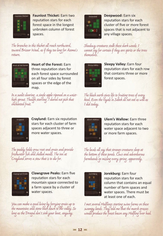

**Faunlost Thicket:** Earn two reputation stars for each forest space in the longest unbroken column of forest spaces.

The branches in this thicket all reach northward, toward Brizoor Waal, as if they too long for Azema's return.



**Heart of the Forest:** Earn three reputation stars for each forest space surrounded on all four sides by forest spaces or the edge of the map.

In a sunlit clearing, a single apple ripened on a waisthigh sprout. Though starving, I dared not pick that enchanted fruit.



**Craylund:** Earn six reputation stars for each cluster of farm spaces adjacent to three or more water spaces.

The paddy fields grow root and grain and provide freshwater fish and shelled meats. The inn at Craylund serves a stew that is to die for.



**Clawsgrave Peaks:** Earn five reputation stars for each mountain space connected to a farm space by a cluster of water spaces.

You can make a good living by ferrying grain up to the mountains and stone back down to the valley. So long as the Dragul don't sink your boat, anyway.



**Deepwood:** Earn six reputation stars for each cluster of five or more forest spaces that is not adjacent to any village spaces.

Shadowy creatures stalk these dark woods. I cannot say for certain if they are spirits or the trees themselves.



**Sleepy Valley:** Earn four reputation stars for each row that contains three or more forest spaces.

The black earth gives life to fruiting trees of every kind. Even the royals in Sabek do not eat as well as I did today.

| ۰ |
|---|
| ٠ |
|   |

**Ulem's Wallow:** Earn three reputation stars for each water space adjacent to two or more farm spaces.

The locals all say that strange creatures sleep at the bottom of these ponds. Cows and adventurous farmhands go missing every spring, apparently.



**Jorekburg:** Earn four reputation stars for each column that contains an equal number of farm spaces and water spaces. There must be at least one of each.

I met several Halflings starting swine farms on these swampy lands. They told me that the marsh grasses would produce the finest bacon any Halfling ever had.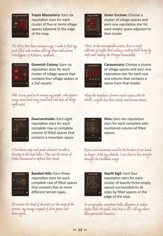

**Traylo Monastery:** Earn six reputation stars for each cluster of five or more village spaces adjacent to the edge of the map.

**City of** 

**Outer Enclave: Choose a** cluster of village spaces and earn one reputation star for each empty space adjacent to that cluster.

The Elves here have strange ways. I woke to find my pack filled with crickets and my shoes with worms. Worshippers of Kehstore, methinks.



**Gnomish Colony:** Earn six reputation stars for each cluster of village spaces that contains four village spaces in a 2x2 square.

Ahh, it was good to be among my people, who square every street and every meal and who keep all things right-sized.



**Dwarvenholds:** Earn eight reputation stars for each complete row or complete column of filled spaces that contains a mountain space.

A fire burns atop each peak whenever trouble is brewing in the land below. Thus are the heroes of Nalos summoned to defend their lands.



**Banded Hills:** Earn three reputation stars for each complete row of filled spaces that contains five or more different terrain types.

No matter the bend of the path nor the steep of the terrain, my trusty compass of silver points ever home again.

There, in the unmappable wastes, lives a rough collection of misfits and outlaws, making their living by theft and raiding the Dragul homesteads.



**Caravansary:** Choose a cluster of village spaces and earn one reputation star for each row and column that contains a space from that cluster.

Along the kingdom's former trade routes with the North, wagons lose their wheels and become homes.

| - -<br>_____ |
|--------------|
| ______       |
|              |
|              |
|              |
|              |
|              |

**Silos:** Earn ten reputation stars for each complete oddnumbered column of filled spaces.

Rivers and mountains need be the borders of our lands no longer. With my alidade, I can chart a line straight through the Vorkheim range.



**Starlit Sigil:** Earn four reputation stars for each cluster of exactly three empty spaces surrounded on all sides by filled spaces or the edge of the map.

A cartographer sometimes holds allegiance to orders higher than the guild. And that is all I will say about these particular omissions.

 $= 13 =$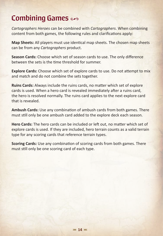## **Combining Games**

*Cartographers Heroes* can be combined with *Cartographers*. When combining content from both games, the following rules and clarifications apply:

**Map Sheets:** All players must use identical map sheets. The chosen map sheets can be from any *Cartographers* product.

**Season Cards:** Choose which set of season cards to use. The only difference between the sets is the time threshold for summer.

**Explore Cards:** Choose which set of explore cards to use. Do not attempt to mix and match and do not combine the sets together.

**Ruins Cards:** Always include the ruins cards, no matter which set of explore cards is used. When a hero card is revealed immediately after a ruins card, the hero is resolved normally. The ruins card applies to the next explore card that is revealed.

**Ambush Cards:** Use any combination of ambush cards from both games. There must still only be one ambush card added to the explore deck each season.

**Hero Cards:** The hero cards can be included or left out, no matter which set of explore cards is used. If they are included, hero terrain counts as a valid terrain type for any scoring cards that reference terrain types.

**Scoring Cards:** Use any combination of scoring cards from both games. There must still only be one scoring card of each type.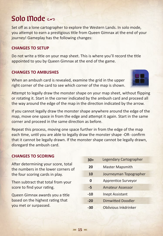## Solo Mode co

Set off as a lone cartographer to explore the Western Lands. In solo mode, you attempt to earn a prestigious title from Queen Gimnax at the end of your journey! Gameplay has the following changes:

### **CHANGES TO SETUP**

Do not write a title on your map sheet. This is where you'll record the title appointed to you by Queen Gimnax at the end of the game.

## **CHANGES TO AMBUSHES**

When an ambush card is revealed, examine the grid in the upper right corner of the card to see which corner of the map is shown.

Attempt to legally draw the monster shape on your map sheet, without flipping or rotating it. Start in the corner indicated by the ambush card and proceed all the way around the edge of the map in the direction indicated by the arrow.

If you cannot legally draw the monster shape anywhere around the edge of the map, move one space in from the edge and attempt it again. Start in the same corner and proceed in the same direction as before.

Repeat this process, moving one space further in from the edge of the map each time, until you are able to legally draw the monster shape -OR- confirm that it cannot be legally drawn. If the monster shape cannot be legally drawn, disregard the ambush card.

#### **CHANGES TO SCORING**

After determining your score, total the numbers in the lower corners of the four scoring cards in play.

Then subtract that total from your score to find your rating.

Queen Gimnax awards you a title based on the highest rating that you met or surpassed.

| Legendary Cartographer |
|------------------------|
|                        |
| Journeyman Topographer |
|                        |
|                        |
|                        |
|                        |
|                        |
|                        |